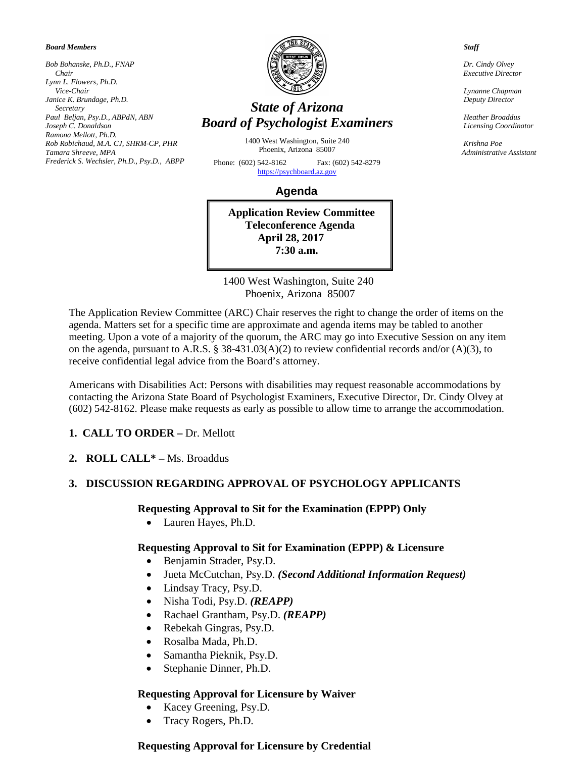*Board Members*

*Bob Bohanske, Ph.D., FNAP Chair Lynn L. Flowers, Ph.D. Vice-Chair Janice K. Brundage, Ph.D. Secretary Paul Beljan, Psy.D., ABPdN, ABN Joseph C. Donaldson Ramona Mellott, Ph.D. Rob Robichaud, M.A. CJ, SHRM-CP, PHR Tamara Shreeve, MPA Frederick S. Wechsler, Ph.D., Psy.D., ABPP* 



# *State of Arizona Board of Psychologist Examiners*

1400 West Washington, Suite 240 Phoenix, Arizona 85007

Phone: (602) 542-8162 Fax: (602) 542-8279 [https://psychboard.az.gov](https://psychboard.az.gov/) 

 **Agenda**

**Application Review Committee Teleconference Agenda April 28, 2017 7:30 a.m.**

 1400 West Washington, Suite 240 Phoenix, Arizona 85007

The Application Review Committee (ARC) Chair reserves the right to change the order of items on the agenda. Matters set for a specific time are approximate and agenda items may be tabled to another meeting. Upon a vote of a majority of the quorum, the ARC may go into Executive Session on any item on the agenda, pursuant to A.R.S. § 38-431.03(A)(2) to review confidential records and/or (A)(3), to receive confidential legal advice from the Board's attorney.

Americans with Disabilities Act: Persons with disabilities may request reasonable accommodations by contacting the Arizona State Board of Psychologist Examiners, Executive Director, Dr. Cindy Olvey at (602) 542-8162. Please make requests as early as possible to allow time to arrange the accommodation.

## **1. CALL TO ORDER –** Dr. Mellott

**2. ROLL CALL\* –** Ms. Broaddus

## **3. DISCUSSION REGARDING APPROVAL OF PSYCHOLOGY APPLICANTS**

**Requesting Approval to Sit for the Examination (EPPP) Only**

• Lauren Hayes, Ph.D.

## **Requesting Approval to Sit for Examination (EPPP) & Licensure**

- Benjamin Strader, Psy.D.
- Jueta McCutchan, Psy.D. *(Second Additional Information Request)*
- Lindsay Tracy, Psy.D.
- Nisha Todi, Psy.D. *(REAPP)*
- Rachael Grantham, Psy.D. *(REAPP)*
- Rebekah Gingras, Psy.D.
- Rosalba Mada, Ph.D.
- Samantha Pieknik, Psy.D.
- Stephanie Dinner, Ph.D.

## **Requesting Approval for Licensure by Waiver**

- Kacey Greening, Psy.D.
- Tracy Rogers, Ph.D.

# **Requesting Approval for Licensure by Credential**

 *Staff*

 *Dr. Cindy Olvey Executive Director*

 *Lynanne Chapman Deputy Director*

 *Heather Broaddus Licensing Coordinator*

 *Krishna Poe Administrative Assistant*